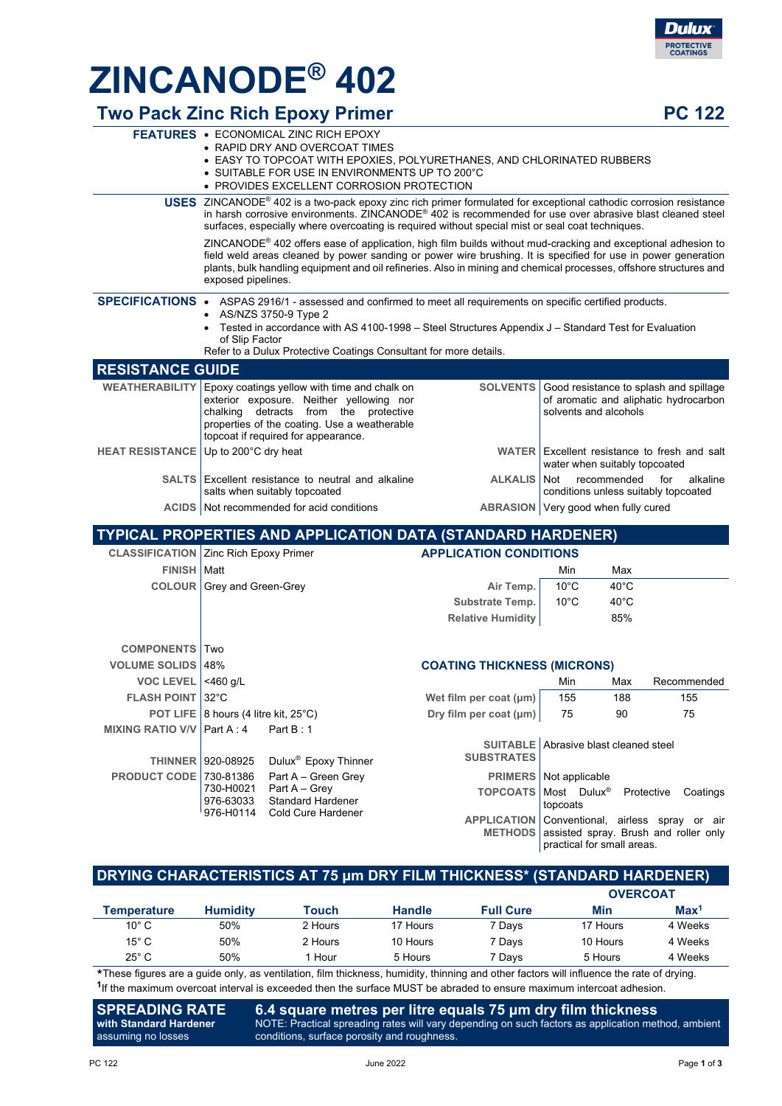

# **ZINCANODE® 402**

#### **Two Pack Zinc Rich Epoxy Primer PC 122**

|                                      | <b>FEATURES • ECONOMICAL ZINC RICH EPOXY</b><br>• RAPID DRY AND OVERCOAT TIMES<br>• EASY TO TOPCOAT WITH EPOXIES, POLYURETHANES, AND CHLORINATED RUBBERS<br>• SUITABLE FOR USE IN ENVIRONMENTS UP TO 200°C<br>• PROVIDES EXCELLENT CORROSION PROTECTION                                                                                                                   |                                       |                |                               |                                                                                 |  |
|--------------------------------------|---------------------------------------------------------------------------------------------------------------------------------------------------------------------------------------------------------------------------------------------------------------------------------------------------------------------------------------------------------------------------|---------------------------------------|----------------|-------------------------------|---------------------------------------------------------------------------------|--|
|                                      | USES ZINCANODE® 402 is a two-pack epoxy zinc rich primer formulated for exceptional cathodic corrosion resistance<br>in harsh corrosive environments. ZINCANODE <sup>®</sup> 402 is recommended for use over abrasive blast cleaned steel<br>surfaces, especially where overcoating is required without special mist or seal coat techniques.                             |                                       |                |                               |                                                                                 |  |
|                                      | ZINCANODE® 402 offers ease of application, high film builds without mud-cracking and exceptional adhesion to<br>field weld areas cleaned by power sanding or power wire brushing. It is specified for use in power generation<br>plants, bulk handling equipment and oil refineries. Also in mining and chemical processes, offshore structures and<br>exposed pipelines. |                                       |                |                               |                                                                                 |  |
|                                      | SPECIFICATIONS • ASPAS 2916/1 - assessed and confirmed to meet all requirements on specific certified products.<br>AS/NZS 3750-9 Type 2<br>• Tested in accordance with AS 4100-1998 - Steel Structures Appendix J - Standard Test for Evaluation<br>of Slip Factor<br>Refer to a Dulux Protective Coatings Consultant for more details.                                   |                                       |                |                               |                                                                                 |  |
| <b>RESISTANCE GUIDE</b>              |                                                                                                                                                                                                                                                                                                                                                                           |                                       |                |                               |                                                                                 |  |
|                                      | WEATHERABILITY Epoxy coatings yellow with time and chalk on<br>exterior exposure. Neither yellowing nor<br>chalking detracts from the protective<br>properties of the coating. Use a weatherable<br>topcoat if required for appearance.                                                                                                                                   | <b>SOLVENTS</b>                       |                | solvents and alcohols         | Good resistance to splash and spillage<br>of aromatic and aliphatic hydrocarbon |  |
| HEAT RESISTANCE Up to 200°C dry heat |                                                                                                                                                                                                                                                                                                                                                                           |                                       |                | water when suitably topcoated | WATER Excellent resistance to fresh and salt                                    |  |
|                                      | <b>SALTS</b> Excellent resistance to neutral and alkaline<br>salts when suitably topcoated                                                                                                                                                                                                                                                                                | <b>ALKALIS</b>                        | Not            | recommended                   | for<br>alkaline<br>conditions unless suitably topcoated                         |  |
|                                      | ACIDS   Not recommended for acid conditions                                                                                                                                                                                                                                                                                                                               | ABRASION   Very good when fully cured |                |                               |                                                                                 |  |
|                                      | TYPICAL PROPERTIES AND APPLICATION DATA (STANDARD HARDENER)                                                                                                                                                                                                                                                                                                               |                                       |                |                               |                                                                                 |  |
|                                      | <b>CLASSIFICATION Zinc Rich Epoxy Primer</b>                                                                                                                                                                                                                                                                                                                              | <b>APPLICATION CONDITIONS</b>         |                |                               |                                                                                 |  |
| <b>FINISH   Matt</b>                 |                                                                                                                                                                                                                                                                                                                                                                           |                                       | Min            | Max                           |                                                                                 |  |
|                                      | <b>COLOUR</b> Grey and Green-Grey                                                                                                                                                                                                                                                                                                                                         | Air Temp.                             | $10^{\circ}$ C | $40^{\circ}$ C                |                                                                                 |  |
|                                      |                                                                                                                                                                                                                                                                                                                                                                           | Substrate Temp.                       | $10^{\circ}$ C | $40^{\circ}$ C                |                                                                                 |  |
|                                      |                                                                                                                                                                                                                                                                                                                                                                           | <b>Relative Humidity</b>              |                | 85%                           |                                                                                 |  |
| <b>COMPONENTS Two</b>                |                                                                                                                                                                                                                                                                                                                                                                           |                                       |                |                               |                                                                                 |  |
| <b>VOLUME SOLIDS 48%</b>             | <b>COATING THICKNESS (MICRONS)</b>                                                                                                                                                                                                                                                                                                                                        |                                       |                |                               |                                                                                 |  |
| VOC LEVEL $ $ <460 g/L               |                                                                                                                                                                                                                                                                                                                                                                           |                                       | Min            | Max                           | Recommended                                                                     |  |
| <b>FLASH POINT 32°C</b>              |                                                                                                                                                                                                                                                                                                                                                                           | Wet film per coat (µm)                | 155            | 188                           | 155                                                                             |  |
|                                      | POT LIFE   8 hours (4 litre kit, 25°C)                                                                                                                                                                                                                                                                                                                                    | Dry film per coat (µm)                | 75             | 90                            | 75                                                                              |  |
| MIXING RATIO V/V Part A: 4           | Part $B:1$                                                                                                                                                                                                                                                                                                                                                                |                                       |                |                               |                                                                                 |  |

|  | THINNER 920-08925 Dulux <sup>®</sup> Epoxy Thinner                                                                                            | <b>SUBSTRATES</b> | <b>SUITABLE</b> Abrasive blast cleaned steel                                                                                                                                                                                               |
|--|-----------------------------------------------------------------------------------------------------------------------------------------------|-------------------|--------------------------------------------------------------------------------------------------------------------------------------------------------------------------------------------------------------------------------------------|
|  | <b>PRODUCT CODE 730-81386 Part A – Green Grey</b><br>730-H0021 Part $A - Grev$<br>976-63033 Standard Hardener<br>976-H0114 Cold Cure Hardener |                   | <b>PRIMERS</b>   Not applicable<br><b>TOPCOATS Most Dulux<sup>®</sup> Protective Coatings</b><br>topcoats<br>APPLICATION Conventional, airless spray or air<br>METHODS assisted spray. Brush and roller only<br>practical for small areas. |

| <b>DRYING CHARACTERISTICS AT 75 µm DRY FILM THICKNESS* (STANDARD HARDENER)</b> |                 |              |               |                  |                 |                  |
|--------------------------------------------------------------------------------|-----------------|--------------|---------------|------------------|-----------------|------------------|
|                                                                                |                 |              |               |                  | <b>OVERCOAT</b> |                  |
| <b>Temperature</b>                                                             | <b>Humidity</b> | <b>Touch</b> | <b>Handle</b> | <b>Full Cure</b> | Min             | Max <sup>1</sup> |
| $10^{\circ}$ C                                                                 | 50%             | 2 Hours      | 17 Hours      | 7 Davs           | 17 Hours        | 4 Weeks          |
| $15^{\circ}$ C                                                                 | 50%             | 2 Hours      | 10 Hours      | 7 Davs           | 10 Hours        | 4 Weeks          |
| $25^{\circ}$ C                                                                 | 50%             | Hour         | 5 Hours       | 7 Davs           | 5 Hours         | 4 Weeks          |

\*These figures are a guide only, as ventilation, film thickness, humidity, thinning and other factors will influence the rate of drying. **<sup>1</sup>**If the maximum overcoat interval is exceeded then the surface MUST be abraded to ensure maximum intercoat adhesion.

**SPREADING RATE with Standard Hardener** assuming no losses **6.4 square metres per litre equals 75 μm dry film thickness** NOTE: Practical spreading rates will vary depending on such factors as application method, ambient conditions, surface porosity and roughness.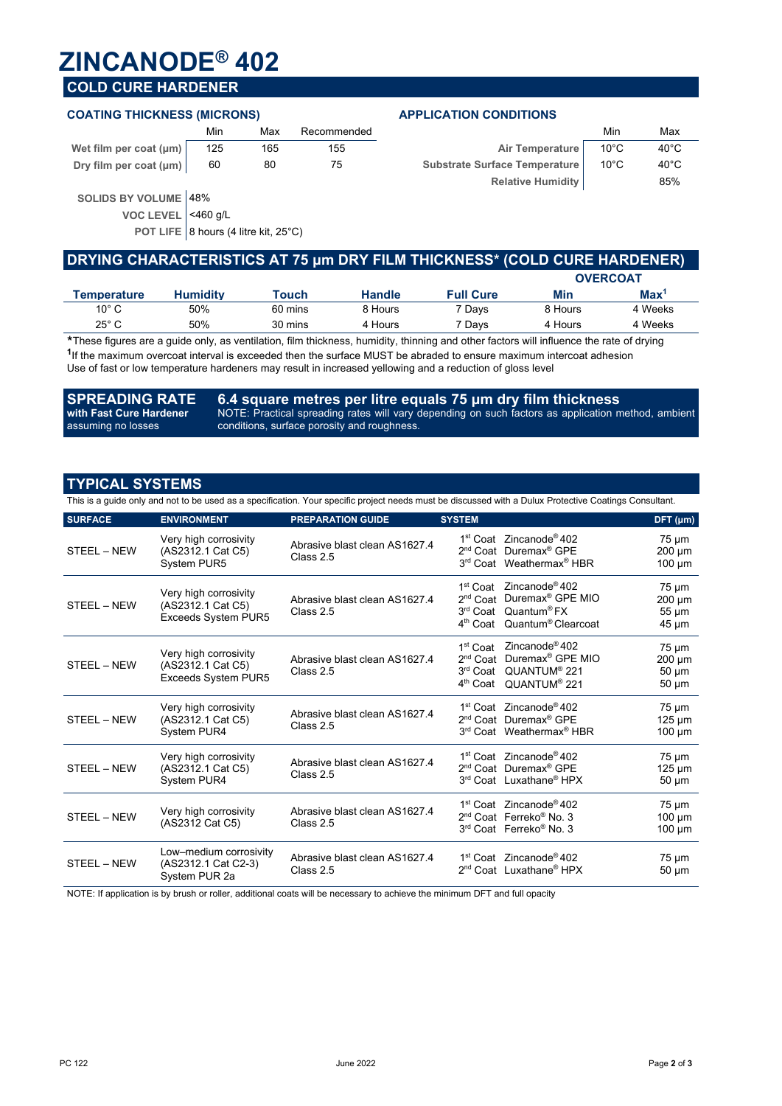## **ZINCANODE® 402**

### **COLD CURE HARDENER**

#### **COATING THICKNESS (MICRONS) APPLICATION CONDITIONS**

|                             | Min | Max | Recommended |                               | Min  | Max            |
|-----------------------------|-----|-----|-------------|-------------------------------|------|----------------|
| Wet film per coat $(\mu m)$ | 125 | 165 | 155         | Air Temperature               | 10°C | $40^{\circ}$ C |
| Dry film per coat (µm)      | 60  | 80  |             | Substrate Surface Temperature | 10°C | $40^{\circ}$ C |

| Min | Max | Recommended |                               | Min  | Max            |
|-----|-----|-------------|-------------------------------|------|----------------|
| 125 | 165 | 155         | Air Temperature               | 10°C | $40^{\circ}$ C |
| 60  | 80  | 75          | Substrate Surface Temperature | 10°C | $40^{\circ}$ C |
|     |     |             | <b>Relative Humidity</b>      |      | 85%            |

**SOLIDS BY VOLUME** 48%

**VOC LEVEL** <460 g/L

**POT LIFE** 8 hours (4 litre kit, 25°C)

|                |                 |         |               | DRYING CHARACTERISTICS AT 75 µm DRY FILM THICKNESS* (COLD CURE HARDENER) |         |                  |
|----------------|-----------------|---------|---------------|--------------------------------------------------------------------------|---------|------------------|
|                |                 |         |               |                                                                          |         | <b>OVERCOAT</b>  |
| Temperature    | <b>Humidity</b> | Touch   | <b>Handle</b> | <b>Full Cure</b>                                                         | Min     | Max <sup>1</sup> |
| $10^{\circ}$ C | 50%             | 60 mins | 8 Hours       | 7 Davs                                                                   | 8 Hours | 4 Weeks          |
| $25^{\circ}$ C | 50%             | 30 mins | 4 Hours       | 7 Davs                                                                   | 4 Hours | 4 Weeks          |
|                |                 |         |               |                                                                          |         |                  |

These figures are a guide only, as ventilation, film thickness, humidity, thinning and other factors will influence the rate of drying **<sup>1</sup>**If the maximum overcoat interval is exceeded then the surface MUST be abraded to ensure maximum intercoat adhesion Use of fast or low temperature hardeners may result in increased yellowing and a reduction of gloss level

**SPREADING RATE with Fast Cure Hardener** assuming no losses **6.4 square metres per litre equals 75 μm dry film thickness** NOTE: Practical spreading rates will vary depending on such factors as application method, ambient conditions, surface porosity and roughness.

#### **TYPICAL SYSTEMS**

This is a guide only and not to be used as a specification. Your specific project needs must be discussed with a Dulux Protective Coatings Consultant.

| <b>SURFACE</b> | <b>ENVIRONMENT</b>                                                | <b>PREPARATION GUIDE</b>                   | <b>SYSTEM</b>                                                                      |                                                                                                                                                      | DFT (µm)                                              |
|----------------|-------------------------------------------------------------------|--------------------------------------------|------------------------------------------------------------------------------------|------------------------------------------------------------------------------------------------------------------------------------------------------|-------------------------------------------------------|
| STEEL - NEW    | Very high corrosivity<br>(AS2312.1 Cat C5)<br>System PUR5         | Abrasive blast clean AS1627.4<br>Class 2.5 |                                                                                    | 1 <sup>st</sup> Coat Zincanode <sup>®</sup> 402<br>2 <sup>nd</sup> Coat Duremax <sup>®</sup> GPE<br>3rd Coat Weathermax <sup>®</sup> HBR             | $75 \mu m$<br>200 µm<br>$100 \mu m$                   |
| STEEL - NEW    | Very high corrosivity<br>(AS2312.1 Cat C5)<br>Exceeds System PUR5 | Abrasive blast clean AS1627.4<br>Class 2.5 | 1 <sup>st</sup> Coat<br>$2nd$ Coat<br>3 <sup>rd</sup> Coat<br>4 <sup>th</sup> Coat | Zincanode <sup>®</sup> 402<br>Duremax <sup>®</sup> GPE MIO<br>Quantum <sup>®</sup> FX<br>Quantum <sup>®</sup> Clearcoat                              | $75 \mu m$<br>$200 \mu m$<br>$55 \mu m$<br>45 µm      |
| STEEL - NEW    | Very high corrosivity<br>(AS2312.1 Cat C5)<br>Exceeds System PUR5 | Abrasive blast clean AS1627.4<br>Class 2.5 | 1 <sup>st</sup> Coat<br>$2nd$ Coat<br>3 <sup>rd</sup> Coat                         | Zincanode <sup>®</sup> 402<br>Duremax <sup>®</sup> GPE MIO<br>QUANTUM <sup>®</sup> 221<br>4 <sup>th</sup> Coat QUANTUM <sup>®</sup> 221              | $75 \mu m$<br>$200 \mu m$<br>$50 \mu m$<br>$50 \mu m$ |
| STEEL - NEW    | Very high corrosivity<br>(AS2312.1 Cat C5)<br>System PUR4         | Abrasive blast clean AS1627.4<br>Class 2.5 |                                                                                    | 1 <sup>st</sup> Coat Zincanode <sup>®</sup> 402<br>2 <sup>nd</sup> Coat Duremax <sup>®</sup> GPE<br>3 <sup>rd</sup> Coat Weathermax <sup>®</sup> HBR | $75 \mu m$<br>$125 \mu m$<br>$100 \mu m$              |
| STEEL - NEW    | Very high corrosivity<br>(AS2312.1 Cat C5)<br>System PUR4         | Abrasive blast clean AS1627.4<br>Class 2.5 |                                                                                    | 1 <sup>st</sup> Coat Zincanode <sup>®</sup> 402<br>2 <sup>nd</sup> Coat Duremax <sup>®</sup> GPE<br>3rd Coat Luxathane <sup>®</sup> HPX              | $75 \mu m$<br>$125 \mu m$<br>$50 \mu m$               |
| STEEL - NEW    | Very high corrosivity<br>(AS2312 Cat C5)                          | Abrasive blast clean AS1627.4<br>Class 2.5 |                                                                                    | 1 <sup>st</sup> Coat Zincanode <sup>®</sup> 402<br>2 <sup>nd</sup> Coat Ferreko <sup>®</sup> No. 3<br>3rd Coat Ferreko <sup>®</sup> No. 3            | $75 \mu m$<br>$100 \mu m$<br>$100 \mu m$              |
| STEEL - NEW    | Low-medium corrosivity<br>(AS2312.1 Cat C2-3)<br>System PUR 2a    | Abrasive blast clean AS1627.4<br>Class 2.5 |                                                                                    | 1 <sup>st</sup> Coat Zincanode <sup>®</sup> 402<br>2 <sup>nd</sup> Coat Luxathane <sup>®</sup> HPX                                                   | $75 \mu m$<br>$50 \mu m$                              |

NOTE: If application is by brush or roller, additional coats will be necessary to achieve the minimum DFT and full opacity